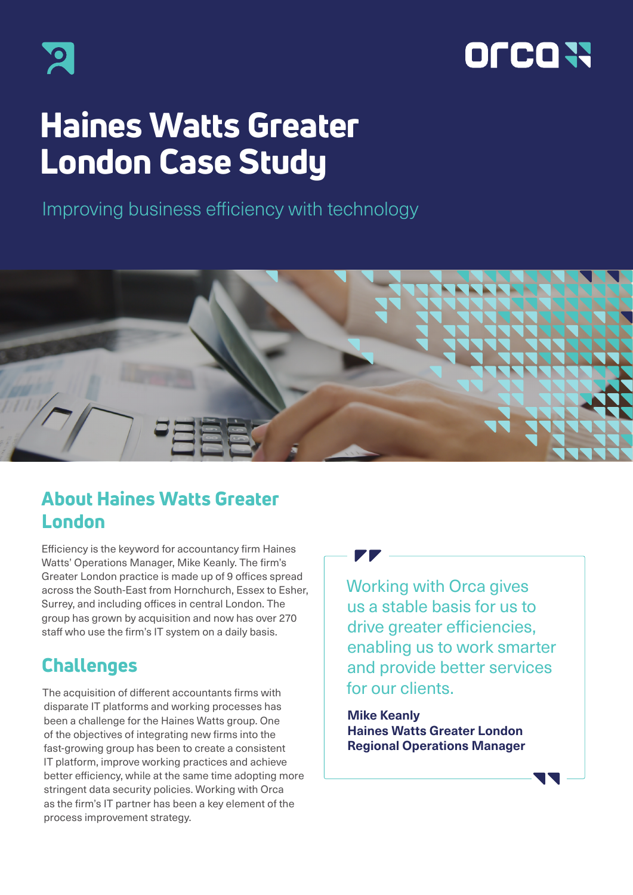



# Haines Watts Greater London Case Study

Improving business efficiency with technology



## About Haines Watts Greater London

Efficiency is the keyword for accountancy firm Haines Watts' Operations Manager, Mike Keanly. The firm's Greater London practice is made up of 9 offices spread across the South-East from Hornchurch, Essex to Esher, Surrey, and including offices in central London. The group has grown by acquisition and now has over 270 staff who use the firm's IT system on a daily basis.

# Challenges

The acquisition of different accountants firms with disparate IT platforms and working processes has been a challenge for the Haines Watts group. One of the objectives of integrating new firms into the fast-growing group has been to create a consistent IT platform, improve working practices and achieve better efficiency, while at the same time adopting more stringent data security policies. Working with Orca as the firm's IT partner has been a key element of the process improvement strategy.



**Mike Keanly Haines Watts Greater London Regional Operations Manager**